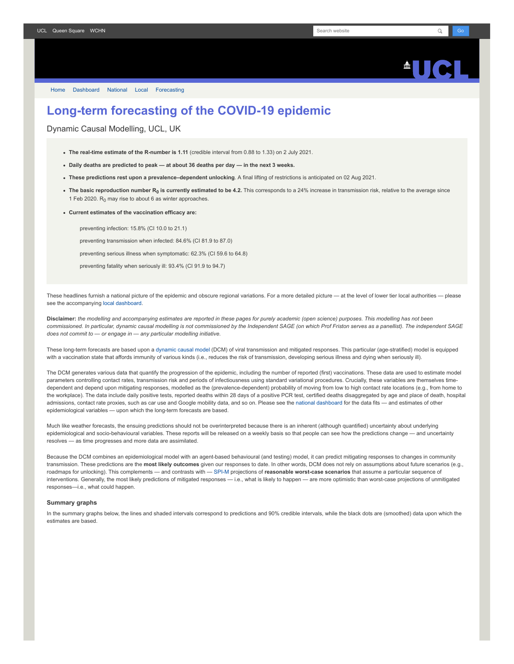# $\blacksquare$

[Home](https://www.fil.ion.ucl.ac.uk/spm/covid-19/) [Dashboard](https://www.fil.ion.ucl.ac.uk/spm/covid-19/dashboard/) [National](https://www.fil.ion.ucl.ac.uk/spm/covid-19/dashboard/) [Local](https://www.fil.ion.ucl.ac.uk/spm/covid-19/dashboard/local/) [Forecasting](https://www.fil.ion.ucl.ac.uk/spm/covid-19/forecasting/)

# **Long-term forecasting of the COVID-19 epidemic**

Dynamic Causal Modelling, UCL, UK

- **The real-time estimate of the R-number is 1.11** (credible interval from 0.88 to 1.33) on 2 July 2021.
- **Daily deaths are predicted to peak at about 36 deaths per day in the next 3 weeks.**
- **These predictions rest upon a prevalence–dependent unlocking**. A final lifting of restrictions is anticipated on 02 Aug 2021.
- **The basic reproduction number R<sup>0</sup> is currently estimated to be 4.2.** This corresponds to a 24% increase in transmission risk, relative to the average since 1 Feb 2020.  $R_0$  may rise to about 6 as winter approaches.
- **Current estimates of the vaccination efficacy are:**

preventing infection: 15.8% (CI 10.0 to 21.1)

preventing transmission when infected: 84.6% (CI 81.9 to 87.0)

preventing serious illness when symptomatic: 62.3% (CI 59.6 to 64.8)

preventing fatality when seriously ill: 93.4% (CI 91.9 to 94.7)

These headlines furnish a national picture of the epidemic and obscure regional variations. For a more detailed picture - at the level of lower tier local authorities - please see the accompanying [local dashboard.](https://www.fil.ion.ucl.ac.uk/spm/covid-19/dashboard/local/)

**Disclaimer:** *the modelling and accompanying estimates are reported in these pages for purely academic (open science) purposes. This modelling has not been commissioned. In particular, dynamic causal modelling is not commissioned by the Independent SAGE (on which Prof Friston serves as a panellist). The independent SAGE does not commit to — or engage in — any particular modelling initiative.*

These long-term forecasts are based upon a [dynamic causal model](https://www.fil.ion.ucl.ac.uk/spm/covid-19) (DCM) of viral transmission and mitigated responses. This particular (age-stratified) model is equipped with a vaccination state that affords immunity of various kinds (i.e., reduces the risk of transmission, developing serious illness and dying when seriously ill).

The DCM generates various data that quantify the progression of the epidemic, including the number of reported (first) vaccinations. These data are used to estimate model parameters controlling contact rates, transmission risk and periods of infectiousness using standard variational procedures. Crucially, these variables are themselves timedependent and depend upon mitigating responses, modelled as the (prevalence-dependent) probability of moving from low to high contact rate locations (e.g., from home to the workplace). The data include daily positive tests, reported deaths within 28 days of a positive PCR test, certified deaths disaggregated by age and place of death, hospital admissions, contact rate proxies, such as car use and Google mobility data, and so on. Please see the [national dashboard](https://www.fil.ion.ucl.ac.uk/spm/covid-19/dashboard/) for the data fits — and estimates of other epidemiological variables — upon which the long-term forecasts are based.

Much like weather forecasts, the ensuing predictions should not be overinterpreted because there is an inherent (although quantified) uncertainty about underlying epidemiological and socio-behavioural variables. These reports will be released on a weekly basis so that people can see how the predictions change - and uncertainty resolves — as time progresses and more data are assimilated.

Because the DCM combines an epidemiological model with an agent-based behavioural (and testing) model, it can predict mitigating responses to changes in community transmission. These predictions are the **most likely outcomes** given our responses to date. In other words, DCM does not rely on assumptions about future scenarios (e.g., roadmaps for unlocking). This complements — and contrasts with — [SPI-M](https://www.gov.uk/government/groups/scientific-pandemic-influenza-subgroup-on-modelling) projections of reasonable worst-case scenarios that assume a particular sequence of interventions. Generally, the most likely predictions of mitigated responses — i.e., what is likely to happen — are more optimistic than worst-case projections of unmitigated responses—i.e., what could happen.

## **Summary graphs**

In the summary graphs below, the lines and shaded intervals correspond to predictions and 90% credible intervals, while the black dots are (smoothed) data upon which the estimates are based.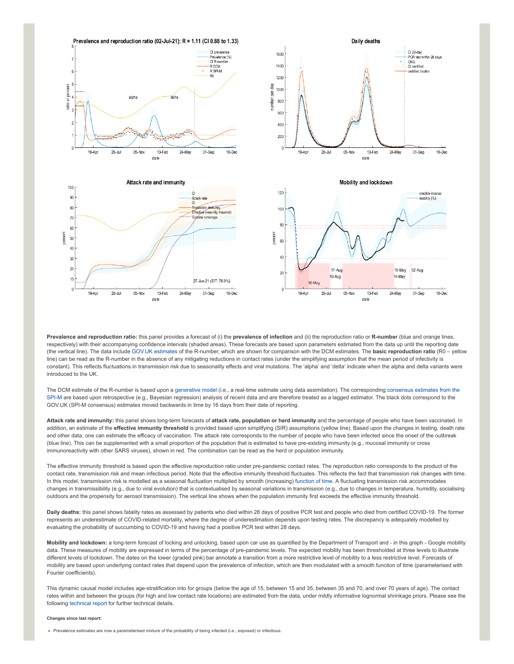

**Prevalence and reproduction ratio:** this panel provides a forecast of (i) the **prevalence of infection** and (ii) the reproduction ratio or **R-number** (blue and orange lines, respectively) with their accompanying confidence intervals (shaded areas). These forecasts are based upon parameters estimated from the data up until the reporting date (the vertical line). The data include [GOV.UK estimates](https://www.gov.uk/guidance/the-r-number-in-the-uk#latest-r-and-growth-rate) of the R-number, which are shown for comparison with the DCM estimates. The **basic reproduction ratio** (R0 – yellow line) can be read as the R-number in the absence of any mitigating reductions in contact rates (under the simplifying assumption that the mean period of infectivity is constant). This reflects fluctuations in transmission risk due to seasonality effects and viral mutations. The 'alpha' and 'delta' indicate when the alpha and delta variants were introduced to the UK.

[The DCM estimate of the R-number is based upon a g](https://www.gov.uk/guidance/the-r-number-in-the-uk#contents)[enerative mode](https://en.wikipedia.org/wiki/Generative_model)[l \(i.e., a real-time estimate using data assimilation\). The corresponding consensus estimates from the](https://www.gov.uk/guidance/the-r-number-in-the-uk#contents) SPI-M are based upon retrospective (e.g., Bayesian regression) analysis of recent data and are therefore treated as a lagged estimator. The black dots correspond to the GOV.UK (SPI-M consensus) estimates moved backwards in time by 16 days from their date of reporting.

**Attack rate and immunity:** this panel shows long-term forecasts of **attack rate, population or herd immunity** and the percentage of people who have been vaccinated. In addition, an estimate of the effective immunity threshold is provided based upon simplifying (SIR) assumptions (yellow line). Based upon the changes in testing, death rate and other data, one can estimate the efficacy of vaccination. The attack rate corresponds to the number of people who have been infected since the onset of the outbreak (blue line). This can be supplemented with a small proportion of the population that is estimated to have pre-existing immunity (e.g., mucosal immunity or cross immunoreactivity with other SARS viruses), shown in red. The combination can be read as the herd or population immunity.

The effective immunity threshold is based upon the effective reproduction ratio under pre-pandemic contact rates. The reproduction ratio corresponds to the product of the contact rate, transmission risk and mean infectious period. Note that the effective immunity threshold fluctuates. This reflects the fact that transmission risk changes with time. In this model, transmission risk is modelled as a seasonal fluctuation multiplied by smooth (increasing) [function of time.](https://www.medrxiv.org/content/10.1101/2021.01.10.21249520v1) A fluctuating transmission risk accommodates changes in transmissibility (e.g., due to viral evolution) that is contextualised by seasonal variations in transmission (e.g., due to changes in temperature, humidity, socialising outdoors and the propensity for aerosol transmission). The vertical line shows when the population immunity first exceeds the effective immunity threshold.

**Daily deaths:** this panel shows fatality rates as assessed by patients who died within 28 days of positive PCR test and people who died from certified COVID-19. The former represents an underestimate of COVID-related mortality, where the degree of underestimation depends upon testing rates. The discrepancy is adequately modelled by evaluating the probability of succumbing to COVID-19 and having had a positive PCR test within 28 days.

**Mobility and lockdown:** a long-term forecast of locking and unlocking, based upon car use as quantified by the Department of Transport and - in this graph - Google mobility data. These measures of mobility are expressed in terms of the percentage of pre-pandemic levels. The expected mobility has been thresholded at three levels to illustrate different levels of lockdown. The dates on the lower (graded pink) bar annotate a transition from a more restrictive level of mobility to a less restrictive level. Forecasts of mobility are based upon underlying contact rates that depend upon the prevalence of infection, which are then modulated with a smooth function of time (parameterised with Fourier coefficients).

This dynamic causal model includes age-stratification into for groups (below the age of 15, between 15 and 35, between 35 and 70, and over 70 years of age). The contact rates within and between the groups (for high and low contact rate locations) are estimated from the data, under mildly informative lognormal shrinkage priors. Please see the following [technical report](https://arxiv.org/abs/2011.12400) for further technical details.

#### **Changes since last report:**

• Prevalence estimates are now a parameterised mixture of the probability of being infected (i.e., exposed) or infectious